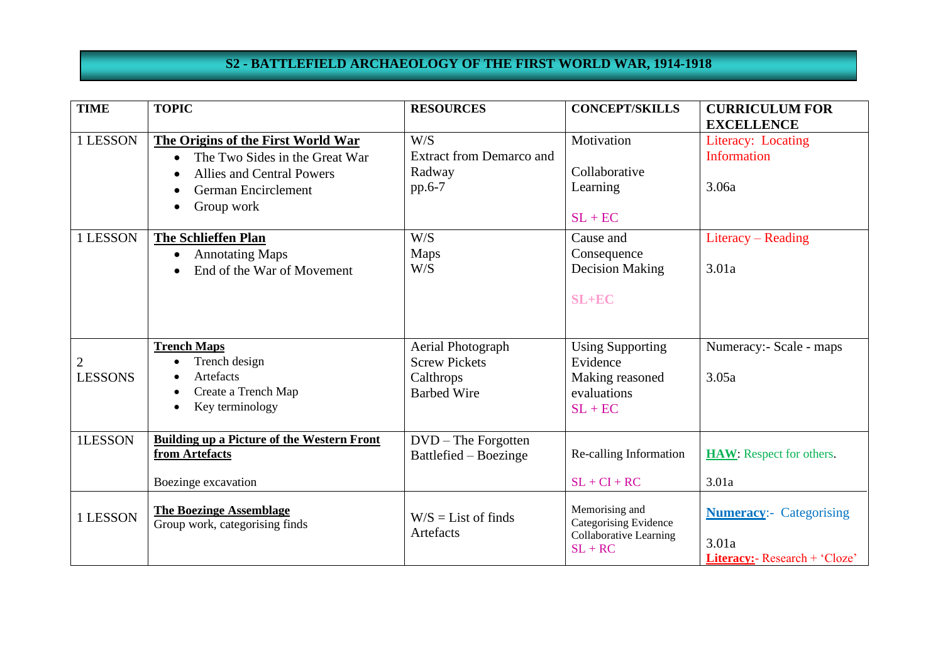## **S2 - BATTLEFIELD ARCHAEOLOGY OF THE FIRST WORLD WAR, 1914-1918**

| <b>TIME</b>                      | <b>TOPIC</b>                                                                                                                                                                                                                                     | <b>RESOURCES</b>                                                                 | <b>CONCEPT/SKILLS</b>                                                                               | <b>CURRICULUM FOR</b>                                                                                 |
|----------------------------------|--------------------------------------------------------------------------------------------------------------------------------------------------------------------------------------------------------------------------------------------------|----------------------------------------------------------------------------------|-----------------------------------------------------------------------------------------------------|-------------------------------------------------------------------------------------------------------|
| 1 LESSON<br>1 LESSON             | The Origins of the First World War<br>The Two Sides in the Great War<br><b>Allies and Central Powers</b><br>German Encirclement<br>Group work<br><b>The Schlieffen Plan</b><br><b>Annotating Maps</b><br>$\bullet$<br>End of the War of Movement | W/S<br><b>Extract from Demarco and</b><br>Radway<br>pp.6-7<br>W/S<br>Maps<br>W/S | Motivation<br>Collaborative<br>Learning<br>$SL + EC$<br>Cause and<br>Consequence<br>Decision Making | <b>EXCELLENCE</b><br>Literacy: Locating<br><b>Information</b><br>3.06a<br>Literacy – Reading<br>3.01a |
|                                  | <b>Trench Maps</b>                                                                                                                                                                                                                               | Aerial Photograph                                                                | $SL+EC$<br><b>Using Supporting</b>                                                                  | Numeracy:- Scale - maps                                                                               |
| $\overline{c}$<br><b>LESSONS</b> | Trench design<br>$\bullet$<br>Artefacts<br>Create a Trench Map<br>Key terminology<br>$\bullet$                                                                                                                                                   | <b>Screw Pickets</b><br>Calthrops<br><b>Barbed Wire</b>                          | Evidence<br>Making reasoned<br>evaluations<br>$SL + EC$                                             | 3.05a                                                                                                 |
| 1LESSON                          | <b>Building up a Picture of the Western Front</b><br>from Artefacts<br>Boezinge excavation                                                                                                                                                       | $DVD$ – The Forgotten<br>Battlefied – Boezinge                                   | Re-calling Information<br>$SL + CI + RC$                                                            | <b>HAW:</b> Respect for others.<br>3.01a                                                              |
| 1 LESSON                         | <b>The Boezinge Assemblage</b><br>Group work, categorising finds                                                                                                                                                                                 | $W/S = List$ of finds<br>Artefacts                                               | Memorising and<br>Categorising Evidence<br><b>Collaborative Learning</b><br>$SL + RC$               | <b>Numeracy:-</b> Categorising<br>3.01a<br>Literacy:- Research + 'Cloze'                              |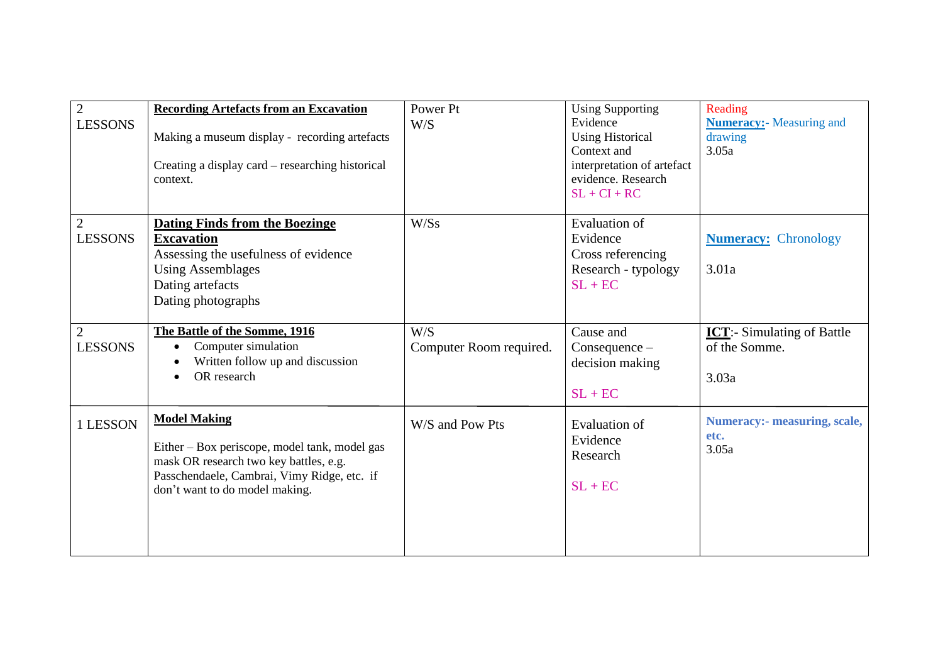| $\overline{2}$<br><b>LESSONS</b> | <b>Recording Artefacts from an Excavation</b><br>Making a museum display - recording artefacts<br>Creating a display card – researching historical<br>context.                                  | Power Pt<br>W/S                | <b>Using Supporting</b><br>Evidence<br><b>Using Historical</b><br>Context and<br>interpretation of artefact<br>evidence. Research<br>$SL + CI + RC$ | Reading<br><b>Numeracy:</b> - Measuring and<br>drawing<br>3.05a |
|----------------------------------|-------------------------------------------------------------------------------------------------------------------------------------------------------------------------------------------------|--------------------------------|-----------------------------------------------------------------------------------------------------------------------------------------------------|-----------------------------------------------------------------|
| $\overline{2}$<br><b>LESSONS</b> | <b>Dating Finds from the Boezinge</b><br><b>Excavation</b><br>Assessing the usefulness of evidence<br><b>Using Assemblages</b><br>Dating artefacts<br>Dating photographs                        | W/Ss                           | <b>Evaluation of</b><br>Evidence<br>Cross referencing<br>Research - typology<br>$SL + EC$                                                           | <b>Numeracy:</b> Chronology<br>3.01a                            |
| $\overline{2}$<br><b>LESSONS</b> | The Battle of the Somme, 1916<br>Computer simulation<br>$\bullet$<br>Written follow up and discussion<br>OR research                                                                            | W/S<br>Computer Room required. | Cause and<br>$Consequence -$<br>decision making<br>$SL + EC$                                                                                        | <b>ICT:</b> - Simulating of Battle<br>of the Somme.<br>3.03a    |
| 1 LESSON                         | <b>Model Making</b><br>Either – Box periscope, model tank, model gas<br>mask OR research two key battles, e.g.<br>Passchendaele, Cambrai, Vimy Ridge, etc. if<br>don't want to do model making. | W/S and Pow Pts                | Evaluation of<br>Evidence<br>Research<br>$SL + EC$                                                                                                  | <b>Numeracy:- measuring, scale,</b><br>etc.<br>3.05a            |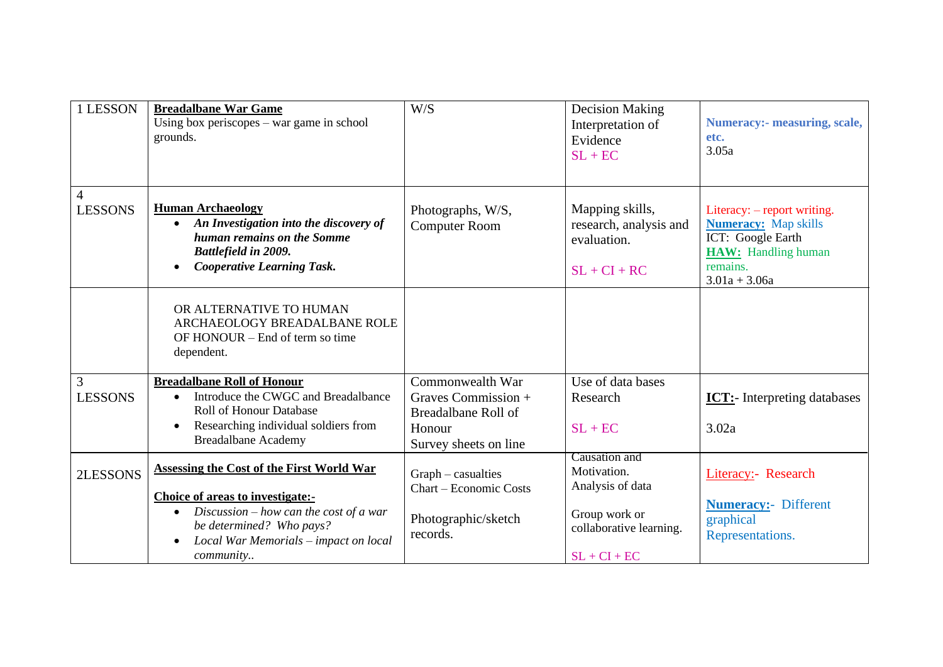| 1 LESSON            | <b>Breadalbane War Game</b><br>Using box periscopes $-$ war game in school<br>grounds.                                                                                                                             | W/S                                                                                               | <b>Decision Making</b><br>Interpretation of<br>Evidence<br>$SL + EC$                                           | <b>Numeracy:- measuring, scale,</b><br>etc.<br>3.05a                                                                                         |
|---------------------|--------------------------------------------------------------------------------------------------------------------------------------------------------------------------------------------------------------------|---------------------------------------------------------------------------------------------------|----------------------------------------------------------------------------------------------------------------|----------------------------------------------------------------------------------------------------------------------------------------------|
| 4<br><b>LESSONS</b> | <b>Human Archaeology</b><br>An Investigation into the discovery of<br>human remains on the Somme<br>Battlefield in 2009.<br><b>Cooperative Learning Task.</b>                                                      | Photographs, W/S,<br><b>Computer Room</b>                                                         | Mapping skills,<br>research, analysis and<br>evaluation.<br>$SL + CI + RC$                                     | Literacy: – report writing.<br><b>Numeracy:</b> Map skills<br>ICT: Google Earth<br><b>HAW:</b> Handling human<br>remains.<br>$3.01a + 3.06a$ |
|                     | OR ALTERNATIVE TO HUMAN<br>ARCHAEOLOGY BREADALBANE ROLE<br>OF HONOUR – End of term so time<br>dependent.                                                                                                           |                                                                                                   |                                                                                                                |                                                                                                                                              |
| 3<br><b>LESSONS</b> | <b>Breadalbane Roll of Honour</b><br>Introduce the CWGC and Breadalbance<br>$\bullet$<br><b>Roll of Honour Database</b><br>Researching individual soldiers from<br><b>Breadalbane Academy</b>                      | Commonwealth War<br>Graves Commission +<br>Breadalbane Roll of<br>Honour<br>Survey sheets on line | Use of data bases<br>Research<br>$SL + EC$                                                                     | <b>ICT:</b> - Interpreting databases<br>3.02a                                                                                                |
| 2LESSONS            | <b>Assessing the Cost of the First World War</b><br>Choice of areas to investigate:-<br>Discussion $-$ how can the cost of a war<br>be determined? Who pays?<br>Local War Memorials - impact on local<br>community | $Graph - casualties$<br><b>Chart – Economic Costs</b><br>Photographic/sketch<br>records.          | Causation and<br>Motivation.<br>Analysis of data<br>Group work or<br>collaborative learning.<br>$SL + CI + EC$ | Literacy:- Research<br><b>Numeracy:</b> - Different<br>graphical<br>Representations.                                                         |